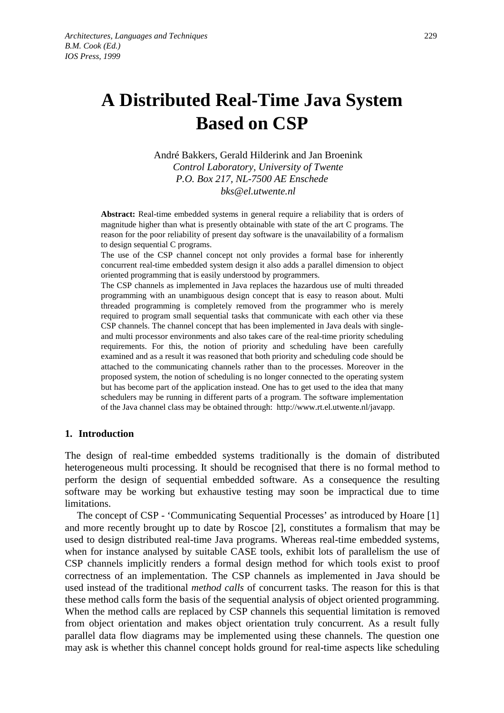# **A Distributed Real-Time Java System Based on CSP**

André Bakkers, Gerald Hilderink and Jan Broenink *Control Laboratory, University of Twente P.O. Box 217, NL-7500 AE Enschede bks@el.utwente.nl*

**Abstract:** Real-time embedded systems in general require a reliability that is orders of magnitude higher than what is presently obtainable with state of the art C programs. The reason for the poor reliability of present day software is the unavailability of a formalism to design sequential C programs.

The use of the CSP channel concept not only provides a formal base for inherently concurrent real-time embedded system design it also adds a parallel dimension to object oriented programming that is easily understood by programmers.

The CSP channels as implemented in Java replaces the hazardous use of multi threaded programming with an unambiguous design concept that is easy to reason about. Multi threaded programming is completely removed from the programmer who is merely required to program small sequential tasks that communicate with each other via these CSP channels. The channel concept that has been implemented in Java deals with singleand multi processor environments and also takes care of the real-time priority scheduling requirements. For this, the notion of priority and scheduling have been carefully examined and as a result it was reasoned that both priority and scheduling code should be attached to the communicating channels rather than to the processes. Moreover in the proposed system, the notion of scheduling is no longer connected to the operating system but has become part of the application instead. One has to get used to the idea that many schedulers may be running in different parts of a program. The software implementation of the Java channel class may be obtained through: http://www.rt.el.utwente.nl/javapp.

# **1. Introduction**

The design of real-time embedded systems traditionally is the domain of distributed heterogeneous multi processing. It should be recognised that there is no formal method to perform the design of sequential embedded software. As a consequence the resulting software may be working but exhaustive testing may soon be impractical due to time limitations.

The concept of CSP - 'Communicating Sequential Processes' as introduced by Hoare [1] and more recently brought up to date by Roscoe [2], constitutes a formalism that may be used to design distributed real-time Java programs. Whereas real-time embedded systems, when for instance analysed by suitable CASE tools, exhibit lots of parallelism the use of CSP channels implicitly renders a formal design method for which tools exist to proof correctness of an implementation. The CSP channels as implemented in Java should be used instead of the traditional *method calls* of concurrent tasks. The reason for this is that these method calls form the basis of the sequential analysis of object oriented programming. When the method calls are replaced by CSP channels this sequential limitation is removed from object orientation and makes object orientation truly concurrent. As a result fully parallel data flow diagrams may be implemented using these channels. The question one may ask is whether this channel concept holds ground for real-time aspects like scheduling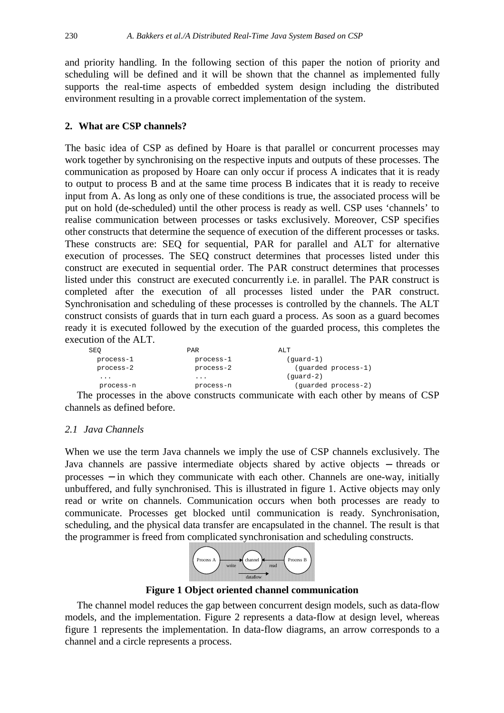and priority handling. In the following section of this paper the notion of priority and scheduling will be defined and it will be shown that the channel as implemented fully supports the real-time aspects of embedded system design including the distributed environment resulting in a provable correct implementation of the system.

# **2. What are CSP channels?**

The basic idea of CSP as defined by Hoare is that parallel or concurrent processes may work together by synchronising on the respective inputs and outputs of these processes. The communication as proposed by Hoare can only occur if process A indicates that it is ready to output to process B and at the same time process B indicates that it is ready to receive input from A. As long as only one of these conditions is true, the associated process will be put on hold (de-scheduled) until the other process is ready as well. CSP uses 'channels' to realise communication between processes or tasks exclusively. Moreover, CSP specifies other constructs that determine the sequence of execution of the different processes or tasks. These constructs are: SEQ for sequential, PAR for parallel and ALT for alternative execution of processes. The SEQ construct determines that processes listed under this construct are executed in sequential order. The PAR construct determines that processes listed under this construct are executed concurrently i.e. in parallel. The PAR construct is completed after the execution of all processes listed under the PAR construct. Synchronisation and scheduling of these processes is controlled by the channels. The ALT construct consists of guards that in turn each guard a process. As soon as a guard becomes ready it is executed followed by the execution of the guarded process, this completes the execution of the ALT.

| SEO             | <b>PAR</b> | ALT                           |
|-----------------|------------|-------------------------------|
| process-1       | process-1  | $(quard-1)$                   |
| process-2       | process-2  | (quarded process-1)           |
| $\cdots$        | $\cdots$   | $(quard-2)$                   |
| process-n       | process-n  | (guarded process-2)           |
| $\cdot$ $\cdot$ |            | $\mathbf{1}$ and $\mathbf{1}$ |

The processes in the above constructs communicate with each other by means of CSP channels as defined before.

# *2.1 Java Channels*

When we use the term Java channels we imply the use of CSP channels exclusively. The Java channels are passive intermediate objects shared by active objects − threads or processes – in which they communicate with each other. Channels are one-way, initially unbuffered, and fully synchronised. This is illustrated in figure 1. Active objects may only read or write on channels. Communication occurs when both processes are ready to communicate. Processes get blocked until communication is ready. Synchronisation, scheduling, and the physical data transfer are encapsulated in the channel. The result is that the programmer is freed from complicated synchronisation and scheduling constructs.



**Figure 1 Object oriented channel communication**

The channel model reduces the gap between concurrent design models, such as data-flow models, and the implementation. Figure 2 represents a data-flow at design level, whereas figure 1 represents the implementation. In data-flow diagrams, an arrow corresponds to a channel and a circle represents a process.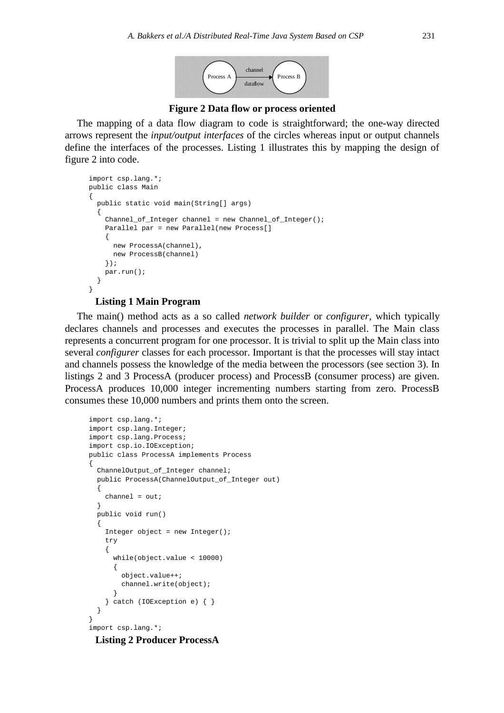

**Figure 2 Data flow or process oriented**

The mapping of a data flow diagram to code is straightforward; the one-way directed arrows represent the *input/output interfaces* of the circles whereas input or output channels define the interfaces of the processes. Listing 1 illustrates this by mapping the design of figure 2 into code.

```
import csp.lang.*;
public class Main
{
  public static void main(String[] args)
 {
   Channel of Integer channel = new Channel of Integer();
     Parallel par = new Parallel(new Process[]
\{ new ProcessA(channel),
      new ProcessB(channel)
     });
    par.run();
   }
}
```
#### **Listing 1 Main Program**

The main() method acts as a so called *network builder* or *configurer*, which typically declares channels and processes and executes the processes in parallel. The Main class represents a concurrent program for one processor. It is trivial to split up the Main class into several *configurer* classes for each processor. Important is that the processes will stay intact and channels possess the knowledge of the media between the processors (see section 3). In listings 2 and 3 ProcessA (producer process) and ProcessB (consumer process) are given. ProcessA produces 10,000 integer incrementing numbers starting from zero. ProcessB consumes these 10,000 numbers and prints them onto the screen.

```
import csp.lang.*;
import csp.lang.Integer;
import csp.lang.Process;
import csp.io.IOException;
public class ProcessA implements Process
{
 ChannelOutput of Integer channel;
  public ProcessA(ChannelOutput_of_Integer out)
 {
    channel = out; }
  public void run()
   {
    Integer object = new Integer();
     try
     {
       while(object.value < 10000)
       {
         object.value++;
         channel.write(object);
 }
     } catch (IOException e) { }
  }
}
import csp.lang.*;
```
**Listing 2 Producer ProcessA**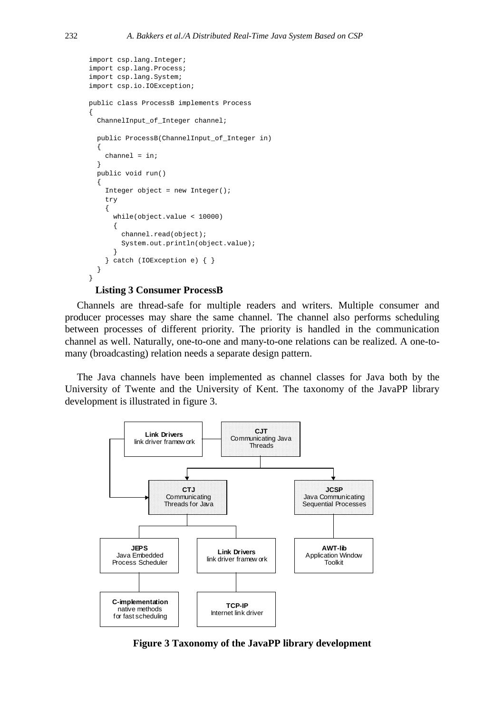```
import csp.lang.Integer;
import csp.lang.Process;
import csp.lang.System;
import csp.io.IOException;
public class ProcessB implements Process
{
   ChannelInput_of_Integer channel;
   public ProcessB(ChannelInput_of_Integer in)
   {
    channel = ini }
   public void run()
   {
    Integer object = new Integer();
     try
     {
       while(object.value < 10000)
       {
         channel.read(object);
         System.out.println(object.value);
 }
     } catch (IOException e) { }
   }
}
```
#### **Listing 3 Consumer ProcessB**

Channels are thread-safe for multiple readers and writers. Multiple consumer and producer processes may share the same channel. The channel also performs scheduling between processes of different priority. The priority is handled in the communication channel as well. Naturally, one-to-one and many-to-one relations can be realized. A one-tomany (broadcasting) relation needs a separate design pattern.

The Java channels have been implemented as channel classes for Java both by the University of Twente and the University of Kent. The taxonomy of the JavaPP library development is illustrated in figure 3.



**Figure 3 Taxonomy of the JavaPP library development**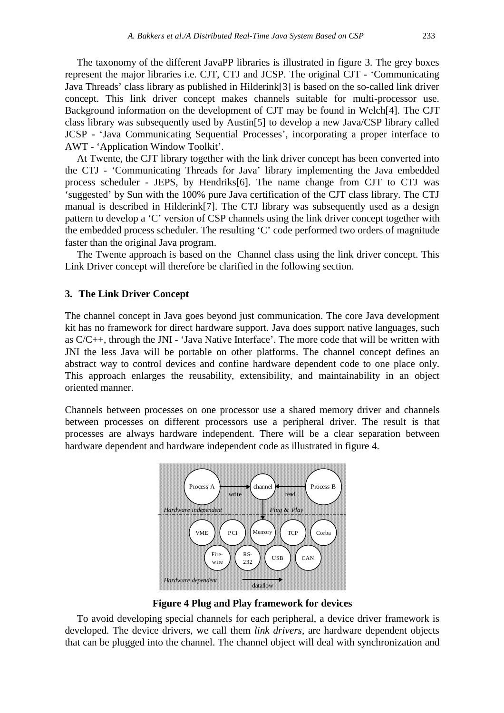The taxonomy of the different JavaPP libraries is illustrated in figure 3. The grey boxes represent the major libraries i.e. CJT, CTJ and JCSP. The original CJT - 'Communicating Java Threads' class library as published in Hilderink[3] is based on the so-called link driver concept. This link driver concept makes channels suitable for multi-processor use. Background information on the development of CJT may be found in Welch[4]. The CJT class library was subsequently used by Austin[5] to develop a new Java/CSP library called JCSP - 'Java Communicating Sequential Processes', incorporating a proper interface to AWT - 'Application Window Toolkit'.

At Twente, the CJT library together with the link driver concept has been converted into the CTJ - 'Communicating Threads for Java' library implementing the Java embedded process scheduler - JEPS, by Hendriks[6]. The name change from CJT to CTJ was 'suggested' by Sun with the 100% pure Java certification of the CJT class library. The CTJ manual is described in Hilderink[7]. The CTJ library was subsequently used as a design pattern to develop a 'C' version of CSP channels using the link driver concept together with the embedded process scheduler. The resulting 'C' code performed two orders of magnitude faster than the original Java program.

The Twente approach is based on the Channel class using the link driver concept. This Link Driver concept will therefore be clarified in the following section.

# **3. The Link Driver Concept**

The channel concept in Java goes beyond just communication. The core Java development kit has no framework for direct hardware support. Java does support native languages, such as C/C++, through the JNI - 'Java Native Interface'. The more code that will be written with JNI the less Java will be portable on other platforms. The channel concept defines an abstract way to control devices and confine hardware dependent code to one place only. This approach enlarges the reusability, extensibility, and maintainability in an object oriented manner.

Channels between processes on one processor use a shared memory driver and channels between processes on different processors use a peripheral driver. The result is that processes are always hardware independent. There will be a clear separation between hardware dependent and hardware independent code as illustrated in figure 4.



**Figure 4 Plug and Play framework for devices**

To avoid developing special channels for each peripheral, a device driver framework is developed. The device drivers, we call them *link drivers*, are hardware dependent objects that can be plugged into the channel. The channel object will deal with synchronization and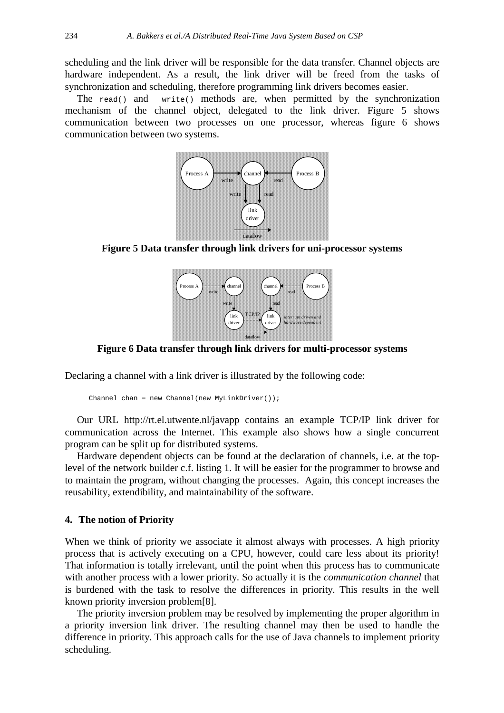scheduling and the link driver will be responsible for the data transfer. Channel objects are hardware independent. As a result, the link driver will be freed from the tasks of synchronization and scheduling, therefore programming link drivers becomes easier.

The  $read()$  and  $write()$  methods are, when permitted by the synchronization mechanism of the channel object, delegated to the link driver. Figure 5 shows communication between two processes on one processor, whereas figure 6 shows communication between two systems.



**Figure 5 Data transfer through link drivers for uni-processor systems**



**Figure 6 Data transfer through link drivers for multi-processor systems**

Declaring a channel with a link driver is illustrated by the following code:

```
Channel chan = new Channel(new MyLinkDriver());
```
Our URL http://rt.el.utwente.nl/javapp contains an example TCP/IP link driver for communication across the Internet. This example also shows how a single concurrent program can be split up for distributed systems.

Hardware dependent objects can be found at the declaration of channels, i.e. at the toplevel of the network builder c.f. listing 1. It will be easier for the programmer to browse and to maintain the program, without changing the processes. Again, this concept increases the reusability, extendibility, and maintainability of the software.

#### **4. The notion of Priority**

When we think of priority we associate it almost always with processes. A high priority process that is actively executing on a CPU, however, could care less about its priority! That information is totally irrelevant, until the point when this process has to communicate with another process with a lower priority. So actually it is the *communication channel* that is burdened with the task to resolve the differences in priority. This results in the well known priority inversion problem[8].

The priority inversion problem may be resolved by implementing the proper algorithm in a priority inversion link driver. The resulting channel may then be used to handle the difference in priority. This approach calls for the use of Java channels to implement priority scheduling.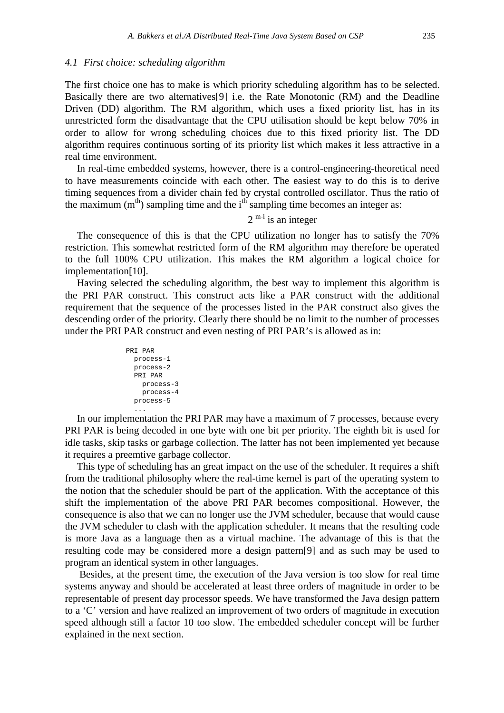#### *4.1 First choice: scheduling algorithm*

The first choice one has to make is which priority scheduling algorithm has to be selected. Basically there are two alternatives[9] i.e. the Rate Monotonic (RM) and the Deadline Driven (DD) algorithm. The RM algorithm, which uses a fixed priority list, has in its unrestricted form the disadvantage that the CPU utilisation should be kept below 70% in order to allow for wrong scheduling choices due to this fixed priority list. The DD algorithm requires continuous sorting of its priority list which makes it less attractive in a real time environment.

In real-time embedded systems, however, there is a control-engineering-theoretical need to have measurements coincide with each other. The easiest way to do this is to derive timing sequences from a divider chain fed by crystal controlled oscillator. Thus the ratio of the maximum  $(m<sup>th</sup>)$  sampling time and the  $i<sup>th</sup>$  sampling time becomes an integer as:

 $2^{m-i}$  is an integer

The consequence of this is that the CPU utilization no longer has to satisfy the 70% restriction. This somewhat restricted form of the RM algorithm may therefore be operated to the full 100% CPU utilization. This makes the RM algorithm a logical choice for implementation[10].

Having selected the scheduling algorithm, the best way to implement this algorithm is the PRI PAR construct. This construct acts like a PAR construct with the additional requirement that the sequence of the processes listed in the PAR construct also gives the descending order of the priority. Clearly there should be no limit to the number of processes under the PRI PAR construct and even nesting of PRI PAR's is allowed as in:

```
PRI PAR
  process-1
  process-2
   PRI PAR
     process-3
    process-4
  process-5
 ...
```
In our implementation the PRI PAR may have a maximum of 7 processes, because every PRI PAR is being decoded in one byte with one bit per priority. The eighth bit is used for idle tasks, skip tasks or garbage collection. The latter has not been implemented yet because it requires a preemtive garbage collector.

This type of scheduling has an great impact on the use of the scheduler. It requires a shift from the traditional philosophy where the real-time kernel is part of the operating system to the notion that the scheduler should be part of the application. With the acceptance of this shift the implementation of the above PRI PAR becomes compositional. However, the consequence is also that we can no longer use the JVM scheduler, because that would cause the JVM scheduler to clash with the application scheduler. It means that the resulting code is more Java as a language then as a virtual machine. The advantage of this is that the resulting code may be considered more a design pattern[9] and as such may be used to program an identical system in other languages.

 Besides, at the present time, the execution of the Java version is too slow for real time systems anyway and should be accelerated at least three orders of magnitude in order to be representable of present day processor speeds. We have transformed the Java design pattern to a 'C' version and have realized an improvement of two orders of magnitude in execution speed although still a factor 10 too slow. The embedded scheduler concept will be further explained in the next section.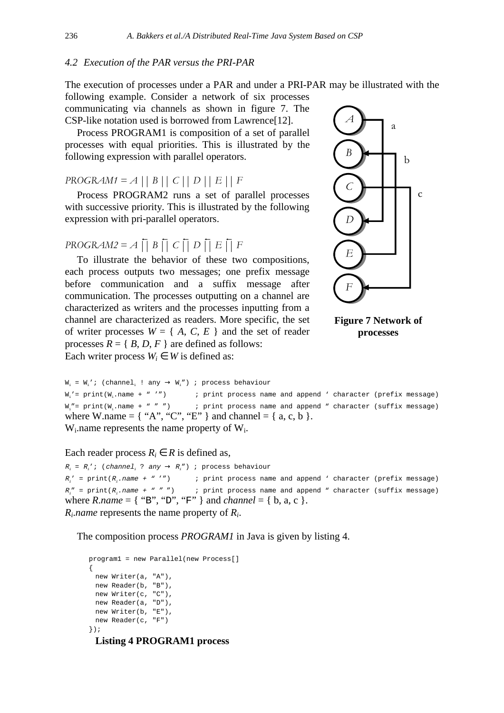# *4.2 Execution of the PAR versus the PRI-PAR*

The execution of processes under a PAR and under a PRI-PAR may be illustrated with the

following example. Consider a network of six processes communicating via channels as shown in figure 7. The CSP-like notation used is borrowed from Lawrence[12].

Process PROGRAM1 is composition of a set of parallel processes with equal priorities. This is illustrated by the following expression with parallel operators.

 $PROGRAM1 = A || B || C || D || E || F$ 

Process PROGRAM2 runs a set of parallel processes with successive priority. This is illustrated by the following expression with pri-parallel operators.

 $PROGRAM2 = A \cup B \cup C \cup D \cup E \cup F$ 

To illustrate the behavior of these two compositions, each process outputs two messages; one prefix message before communication and a suffix message after communication. The processes outputting on a channel are characterized as writers and the processes inputting from a channel are characterized as readers. More specific, the set of writer processes  $W = \{A, C, E\}$  and the set of reader processes  $R = \{ B, D, F \}$  are defined as follows: Each writer process  $W_i \in W$  is defined as:





 $W_i = W_i'$ ; (channel, ! any  $\rightarrow W_i''$ ) ; process behaviour  $W_i' = print(W_i.name + " '")$  ; print process name and append ' character (prefix message)  $W_1'' = print(W_1 \ldots$  name + " " ") ; print process name and append " character (suffix message) where W.name =  $\{$  "A", "C", "E"  $\}$  and channel =  $\{$  a, c, b  $\}.$ Wi.name represents the name property of Wi.

Each reader process  $R_i \in R$  is defined as,

```
R_i = R_i'; (channel<sub>i</sub> ? any \rightarrow R_i'') ; process behaviour
R_i' = print(R_i: print process name and append ' character (prefix message)
R_i'' = print(R_i; print process name and append " character (suffix message)
where R.name = \{ "B", "D", "F" } and channel = { b, a, c }.
Ri.name represents the name property of Ri.
```
The composition process *PROGRAM1* in Java is given by listing 4.

```
program1 = new Parallel(new Process[]
{
 new Writer(a, "A"),
 new Reader(b, "B"),
 new Writer(c, "C"),
 new Reader(a, "D"),
 new Writer(b, "E"),
 new Reader(c, "F")
});
```
**Listing 4 PROGRAM1 process**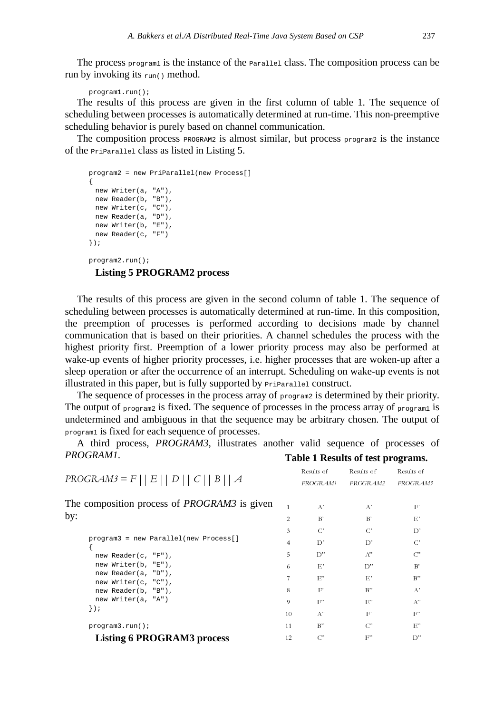The process program1 is the instance of the Parallel class. The composition process can be run by invoking its  $_{run()}$  method.

program1.run();

The results of this process are given in the first column of table 1. The sequence of scheduling between processes is automatically determined at run-time. This non-preemptive scheduling behavior is purely based on channel communication.

The composition process PROGRAM2 is almost similar, but process program2 is the instance of the PriParallel class as listed in Listing 5.

```
program2 = new PriParallel(new Process[]
{
 new Writer(a, "A"),
 new Reader(b, "B"),
 new Writer(c, "C"),
 new Reader(a, "D"),
 new Writer(b, "E"),
 new Reader(c, "F")
});
program2.run();
```
# **Listing 5 PROGRAM2 process**

The results of this process are given in the second column of table 1. The sequence of scheduling between processes is automatically determined at run-time. In this composition, the preemption of processes is performed according to decisions made by channel communication that is based on their priorities. A channel schedules the process with the highest priority first. Preemption of a lower priority process may also be performed at wake-up events of higher priority processes, i.e. higher processes that are woken-up after a sleep operation or after the occurrence of an interrupt. Scheduling on wake-up events is not illustrated in this paper, but is fully supported by PriParallel construct.

The sequence of processes in the process array of **program2** is determined by their priority. The output of program2 is fixed. The sequence of processes in the process array of program1 is undetermined and ambiguous in that the sequence may be arbitrary chosen. The output of program1 is fixed for each sequence of processes.

A third process, *PROGRAM3*, illustrates another valid sequence of processes of *PROGRAM1*. **Table 1 Results of test programs.**

| $PROGRAM3 = F    E    D    C    B    A$             |                | Results of<br>PROGRAM1 | Results of<br>PROGRAM2 | Results of<br>PROGRAM3 |
|-----------------------------------------------------|----------------|------------------------|------------------------|------------------------|
| The composition process of <i>PROGRAM3</i> is given |                | $A^*$                  | $A^{\prime}$           | $F^{\prime}$           |
| by:                                                 | $\overline{2}$ | B'                     | B'                     | E'                     |
|                                                     | 3              | $\mathcal{C}^*$        | $\mathcal{C}^*$        | D'                     |
| program3 = new Parallel(new Process[]               | $\overline{4}$ | $D^*$                  | D'                     | $C^*$                  |
| new Reader( $c$ , " $F$ "),                         | 5              | D"                     | A"                     | $C^{\prime}$           |
| new Writer(b, "E"),                                 | 6              | $E^*$                  | D"                     | B'                     |
| new Reader(a, "D"),                                 | 7              | E"                     | $E^*$                  | B"                     |
| new Writer(c, "C"),<br>new Reader(b, "B"),          | 8              | F'                     | $B$ "                  | $A^{\prime}$           |
| new Writer(a, "A")                                  | 9              | $F^{\prime\prime}$     | E"                     | $A^{\prime\prime}$     |
| $\}$ ) ;                                            | 10             | $A^{\prime\prime}$     | $F^{\prime}$           | $F^{\prime\prime}$     |
| program3.run()                                      | 11             | B"                     | $C^{\prime}$           | $E^{\prime\prime}$     |
| <b>Listing 6 PROGRAM3 process</b>                   | 12             | $C^{\prime\prime}$     | $F^{\prime\prime}$     | D"                     |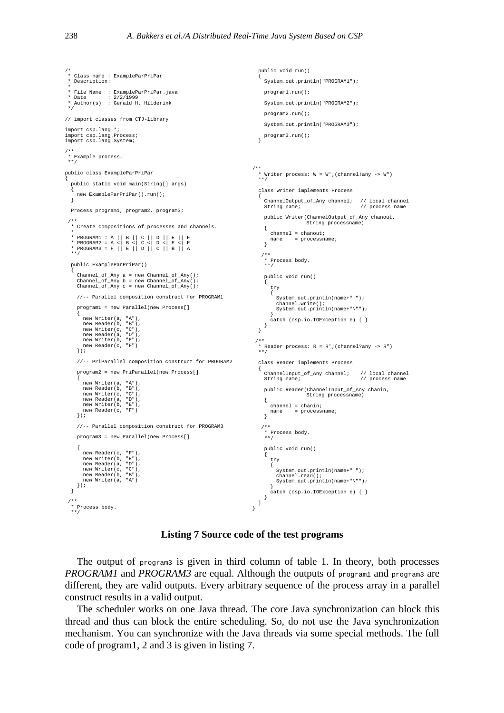```
/*
 * Class name : ExampleParPriPar
  * Description:
 *
 * File Name : ExampleParPriPar.java
 * Date : 2/2/1999
   Author(s) : Gerald H. Hilderink
 */
// import classes from CTJ-library
import csp.lang.*;
import csp.lang.Process;
import csp.lang.System;
/**
 * Example process.
 **/
public class ExampleParPriPar
  public static void main(String[] args)
   {
     new ExampleParPriPar().run();
  }
  Process program1, program2, program3;
 /**
 * Create compositions of processes and channels.
 *
* PROGRAM1 = A || B || C || D || E || F<br>* PROGRAM2 = A <| B <| C <| D <| E <| F<br>* PROGRAM3 = F || E || D || C || B || A<br>**/
  public ExampleParPriPar()
   {
      Channel_of_Any a = new Channel_of_Any();
Channel_of_Any b = new Channel_of_Any();
Channel_of_Any c = new Channel_of_Any();
     //-- Parallel composition construct for PROGRAM1
     program1 = new Parallel(new Process[]
      {
        new Writer(a, "A"),
         new Reader(b, "B"),
new Writer(c, "C"),
         new Reader(a, "D"),
new Writer(b, "E"),
        new Reader(c, "F")
     \overline{\mathcal{W}}//-- PriParallel composition construct for PROGRAM2
     program2 = new PriParallel(new Process[]
      {
         new Writer(a, "A"),
new Reader(b, "B"),
         new Writer(c, "C"),
new Reader(a, "D"),
new Writer(b, "E"),
new Reader(c, "F")
     \overline{\ };
     //-- Parallel composition construct for PROGRAM3
     program3 = new Parallel(new Process[]
      {
         new Reader(c, "F"),<br>new Writer(b, "E"),<br>new Reader(a, "D"),<br>new Writer(c, "C"),<br>new Reader(b, "B"),<br>new Writer(a, "A")
     \left\{ \right\};
   }
 /**
 * Process body.
 **/
                                                                                          public void run()
                                                                                          {
                                                                                            System.out.println("PROGRAM1");
                                                                                           program1.run();
                                                                                          System.out.println("PROGRAM2");
                                                                                           program2.run();
                                                                                           System.out.println("PROGRAM3");
                                                                                          program3.run();
}
                                                                                        /**
 * Writer process: W = W';(channel!any -> W")
                                                                                         **/
                                                                                           class Writer implements Process
                                                                                          {
                                                                                             ChannelOutput_of_Any channel; // local channel
String name; // process name
                                                                                            public Writer(ChannelOutput_of_Any chanout,
                                                                                                                String processname)
                                                                                            {
                                                                                               channel = chanout;
                                                                                               \begin{minipage}{.4\linewidth} \texttt{processname:} \end{minipage} \vspace{-0.5em}}
                                                                                           \prime * Process body.
 **/
                                                                                             public void run()
                                                                                             {
                                                                                               try
                                                                                               {
                                                                                                  System.out.println(name+"'");
                                                                                                   channel.write();
System.out.println(name+"\"");
                                                                                                }
catch (csp.io.IOException e) { }
                                                                                             }
                                                                                          }
                                                                                         /**
 * Reader process: R = R';(channel?any -> R")
 **/
                                                                                          class Reader implements Process
                                                                                          {
                                                                                             ChannelInput_of_Any channel; // local channel
String name; // process name
                                                                                            public Reader(ChannelInput_of_Any chanin,
                                                                                                               String processname)
                                                                                            {
                                                                                                channel = chanin;
name = processname;
                                                                                            }
                                                                                         /**
 * Process body.
 **/
                                                                                             public void run()
{
                                                                                               try
                                                                                                {
                                                                                                  System.out.println(name+"'");
                                                                                                  channel.read();
                                                                                                  System.out.println(name+"\"");
                                                                                                }
catch (csp.io.IOException e) { }
                                                                                            }
                                                                                         }
                                                                                       \mathbf{I}
```
#### **Listing 7 Source code of the test programs**

The output of  $_{\text{program3}}$  is given in third column of table 1. In theory, both processes *PROGRAM1* and *PROGRAM3* are equal. Although the outputs of program1 and program3 are different, they are valid outputs. Every arbitrary sequence of the process array in a parallel construct results in a valid output.

The scheduler works on one Java thread. The core Java synchronization can block this thread and thus can block the entire scheduling. So, do not use the Java synchronization mechanism. You can synchronize with the Java threads via some special methods. The full code of program1, 2 and 3 is given in listing 7.

{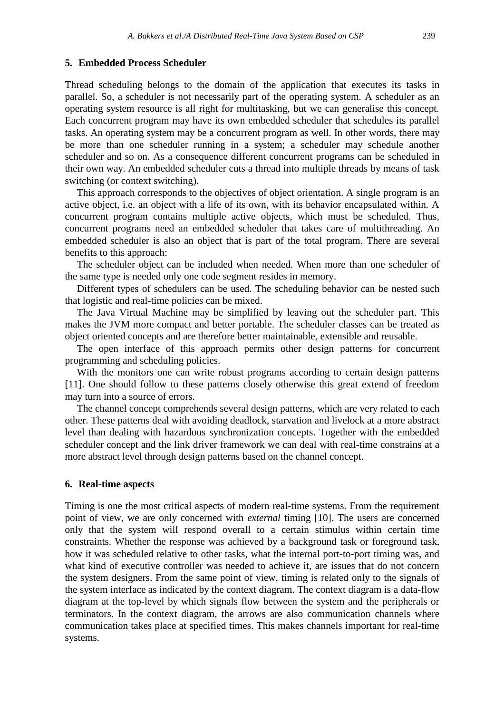# **5. Embedded Process Scheduler**

Thread scheduling belongs to the domain of the application that executes its tasks in parallel. So, a scheduler is not necessarily part of the operating system. A scheduler as an operating system resource is all right for multitasking, but we can generalise this concept. Each concurrent program may have its own embedded scheduler that schedules its parallel tasks. An operating system may be a concurrent program as well. In other words, there may be more than one scheduler running in a system; a scheduler may schedule another scheduler and so on. As a consequence different concurrent programs can be scheduled in their own way. An embedded scheduler cuts a thread into multiple threads by means of task switching (or context switching).

This approach corresponds to the objectives of object orientation. A single program is an active object, i.e. an object with a life of its own, with its behavior encapsulated within. A concurrent program contains multiple active objects, which must be scheduled. Thus, concurrent programs need an embedded scheduler that takes care of multithreading. An embedded scheduler is also an object that is part of the total program. There are several benefits to this approach:

The scheduler object can be included when needed. When more than one scheduler of the same type is needed only one code segment resides in memory.

Different types of schedulers can be used. The scheduling behavior can be nested such that logistic and real-time policies can be mixed.

The Java Virtual Machine may be simplified by leaving out the scheduler part. This makes the JVM more compact and better portable. The scheduler classes can be treated as object oriented concepts and are therefore better maintainable, extensible and reusable.

The open interface of this approach permits other design patterns for concurrent programming and scheduling policies.

With the monitors one can write robust programs according to certain design patterns [11]. One should follow to these patterns closely otherwise this great extend of freedom may turn into a source of errors.

The channel concept comprehends several design patterns, which are very related to each other. These patterns deal with avoiding deadlock, starvation and livelock at a more abstract level than dealing with hazardous synchronization concepts. Together with the embedded scheduler concept and the link driver framework we can deal with real-time constrains at a more abstract level through design patterns based on the channel concept.

#### **6. Real-time aspects**

Timing is one the most critical aspects of modern real-time systems. From the requirement point of view, we are only concerned with *external* timing [10]. The users are concerned only that the system will respond overall to a certain stimulus within certain time constraints. Whether the response was achieved by a background task or foreground task, how it was scheduled relative to other tasks, what the internal port-to-port timing was, and what kind of executive controller was needed to achieve it, are issues that do not concern the system designers. From the same point of view, timing is related only to the signals of the system interface as indicated by the context diagram. The context diagram is a data-flow diagram at the top-level by which signals flow between the system and the peripherals or terminators. In the context diagram, the arrows are also communication channels where communication takes place at specified times. This makes channels important for real-time systems.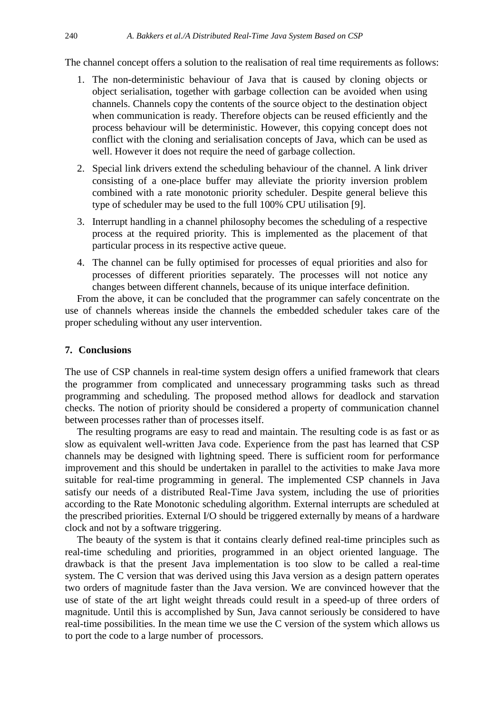The channel concept offers a solution to the realisation of real time requirements as follows:

- 1. The non-deterministic behaviour of Java that is caused by cloning objects or object serialisation, together with garbage collection can be avoided when using channels. Channels copy the contents of the source object to the destination object when communication is ready. Therefore objects can be reused efficiently and the process behaviour will be deterministic. However, this copying concept does not conflict with the cloning and serialisation concepts of Java, which can be used as well. However it does not require the need of garbage collection.
- 2. Special link drivers extend the scheduling behaviour of the channel. A link driver consisting of a one-place buffer may alleviate the priority inversion problem combined with a rate monotonic priority scheduler. Despite general believe this type of scheduler may be used to the full 100% CPU utilisation [9].
- 3. Interrupt handling in a channel philosophy becomes the scheduling of a respective process at the required priority. This is implemented as the placement of that particular process in its respective active queue.
- 4. The channel can be fully optimised for processes of equal priorities and also for processes of different priorities separately. The processes will not notice any changes between different channels, because of its unique interface definition.

From the above, it can be concluded that the programmer can safely concentrate on the use of channels whereas inside the channels the embedded scheduler takes care of the proper scheduling without any user intervention.

# **7. Conclusions**

The use of CSP channels in real-time system design offers a unified framework that clears the programmer from complicated and unnecessary programming tasks such as thread programming and scheduling. The proposed method allows for deadlock and starvation checks. The notion of priority should be considered a property of communication channel between processes rather than of processes itself.

The resulting programs are easy to read and maintain. The resulting code is as fast or as slow as equivalent well-written Java code. Experience from the past has learned that CSP channels may be designed with lightning speed. There is sufficient room for performance improvement and this should be undertaken in parallel to the activities to make Java more suitable for real-time programming in general. The implemented CSP channels in Java satisfy our needs of a distributed Real-Time Java system, including the use of priorities according to the Rate Monotonic scheduling algorithm. External interrupts are scheduled at the prescribed priorities. External I/O should be triggered externally by means of a hardware clock and not by a software triggering.

The beauty of the system is that it contains clearly defined real-time principles such as real-time scheduling and priorities, programmed in an object oriented language. The drawback is that the present Java implementation is too slow to be called a real-time system. The C version that was derived using this Java version as a design pattern operates two orders of magnitude faster than the Java version. We are convinced however that the use of state of the art light weight threads could result in a speed-up of three orders of magnitude. Until this is accomplished by Sun, Java cannot seriously be considered to have real-time possibilities. In the mean time we use the C version of the system which allows us to port the code to a large number of processors.